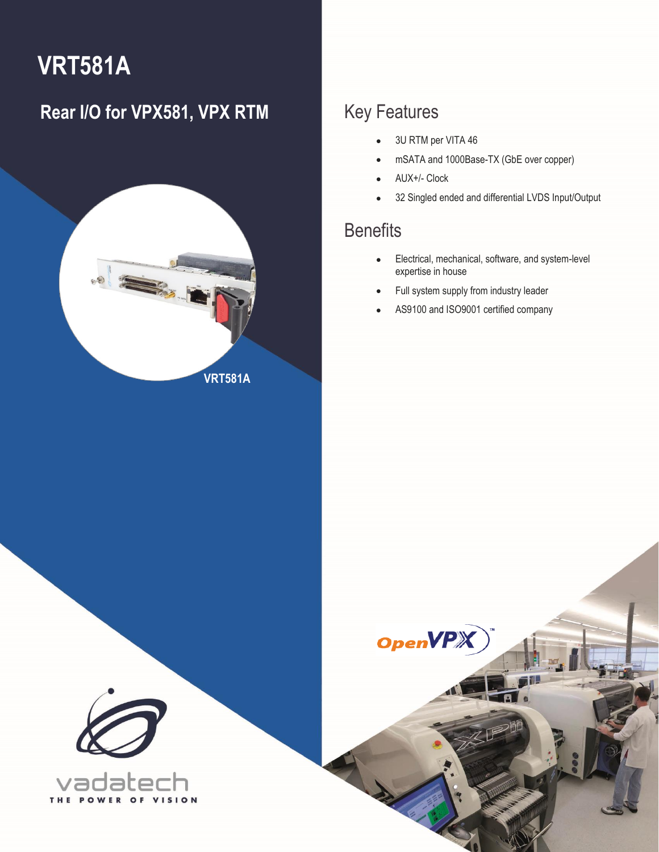# **VRT581A**

### **Rear I/O for VPX581, VPX RTM** Key Features



- 3U RTM per VITA 46
- mSATA and 1000Base-TX (GbE over copper)
- AUX+/- Clock

**OpenVP** 

• 32 Singled ended and differential LVDS Input/Output

### **Benefits**

1 VRT581A – Rear I/O for VPX581, VPX RTM **[info@vadatech.com](mailto:info@vadatech.com) [| www.vadatech.com](www.vadatech.com)**

- Electrical, mechanical, software, and system-level expertise in house
- Full system supply from industry leader
- AS9100 and ISO9001 certified company

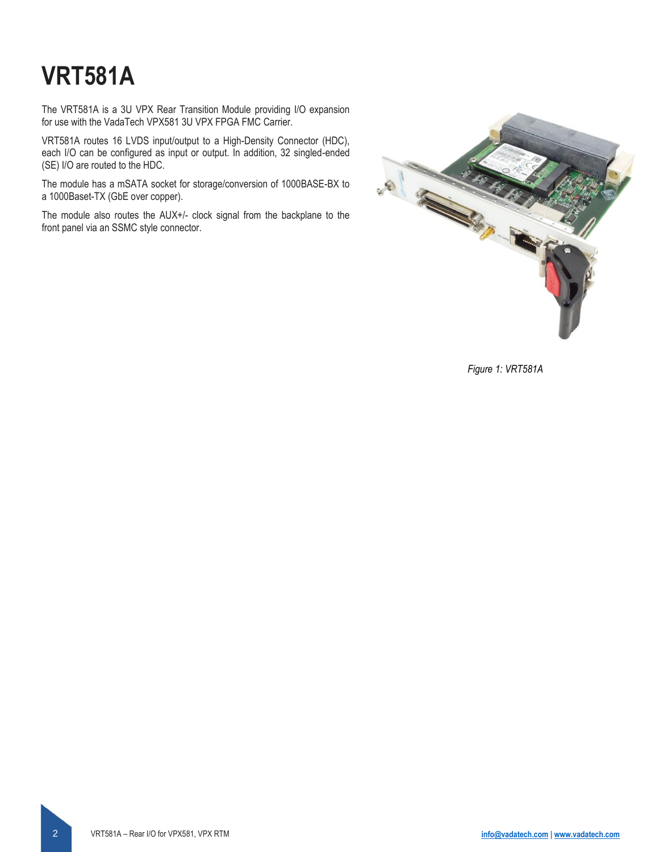# **VRT581A**

The VRT581A is a 3U VPX Rear Transition Module providing I/O expansion for use with the VadaTech VPX581 3U VPX FPGA FMC Carrier.

VRT581A routes 16 LVDS input/output to a High-Density Connector (HDC), each I/O can be configured as input or output. In addition, 32 singled-ended (SE) I/O are routed to the HDC.

The module has a mSATA socket for storage/conversion of 1000BASE-BX to a 1000Baset-TX (GbE over copper).

The module also routes the AUX+/- clock signal from the backplane to the front panel via an SSMC style connector.



*Figure 1: VRT581A*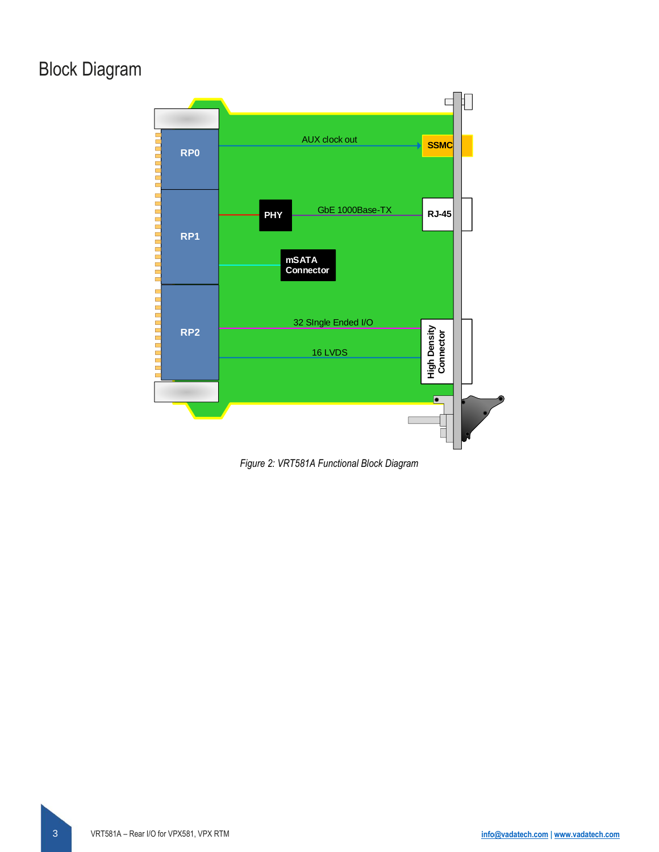### Block Diagram



*Figure 2: VRT581A Functional Block Diagram*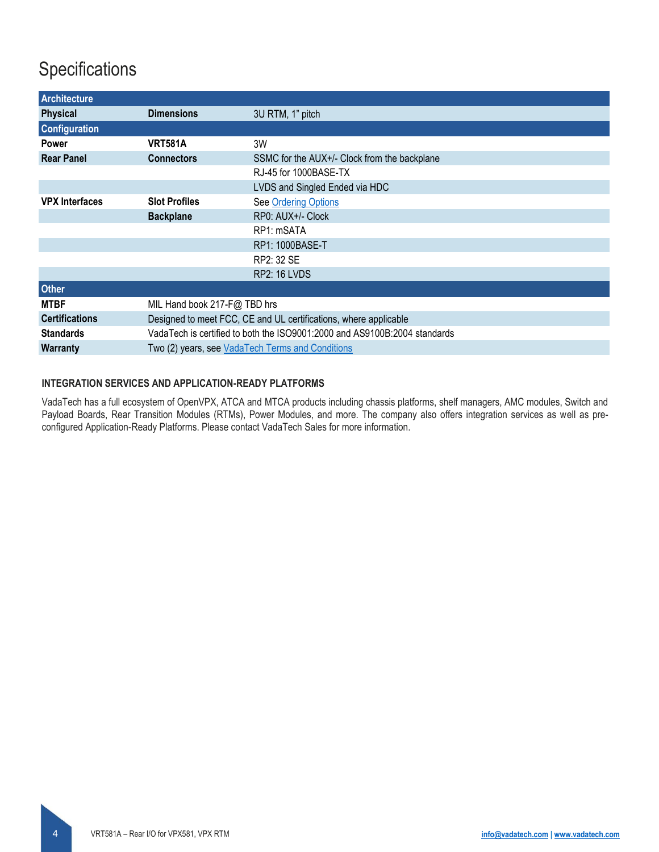### **Specifications**

| <b>Architecture</b>   |                                                                           |                                              |  |  |  |
|-----------------------|---------------------------------------------------------------------------|----------------------------------------------|--|--|--|
| <b>Physical</b>       | <b>Dimensions</b>                                                         | 3U RTM, 1" pitch                             |  |  |  |
| <b>Configuration</b>  |                                                                           |                                              |  |  |  |
| <b>Power</b>          | <b>VRT581A</b>                                                            | 3W                                           |  |  |  |
| <b>Rear Panel</b>     | <b>Connectors</b>                                                         | SSMC for the AUX+/- Clock from the backplane |  |  |  |
|                       |                                                                           | RJ-45 for 1000BASE-TX                        |  |  |  |
|                       |                                                                           | LVDS and Singled Ended via HDC               |  |  |  |
| <b>VPX Interfaces</b> | <b>Slot Profiles</b>                                                      | See Ordering Options                         |  |  |  |
|                       | <b>Backplane</b>                                                          | RP0: AUX+/- Clock                            |  |  |  |
|                       |                                                                           | RP1: mSATA                                   |  |  |  |
|                       |                                                                           | RP1: 1000BASE-T                              |  |  |  |
|                       |                                                                           | RP2: 32 SE                                   |  |  |  |
|                       |                                                                           | <b>RP2: 16 LVDS</b>                          |  |  |  |
| <b>Other</b>          |                                                                           |                                              |  |  |  |
| <b>MTBF</b>           | MIL Hand book 217-F@ TBD hrs                                              |                                              |  |  |  |
| <b>Certifications</b> | Designed to meet FCC, CE and UL certifications, where applicable          |                                              |  |  |  |
| <b>Standards</b>      | VadaTech is certified to both the ISO9001:2000 and AS9100B:2004 standards |                                              |  |  |  |
| <b>Warranty</b>       | Two (2) years, see VadaTech Terms and Conditions                          |                                              |  |  |  |

#### **INTEGRATION SERVICES AND APPLICATION-READY PLATFORMS**

VadaTech has a full ecosystem of OpenVPX, ATCA and MTCA products including chassis platforms, shelf managers, AMC modules, Switch and Payload Boards, Rear Transition Modules (RTMs), Power Modules, and more. The company also offers integration services as well as preconfigured Application-Ready Platforms. Please contact VadaTech Sales for more information.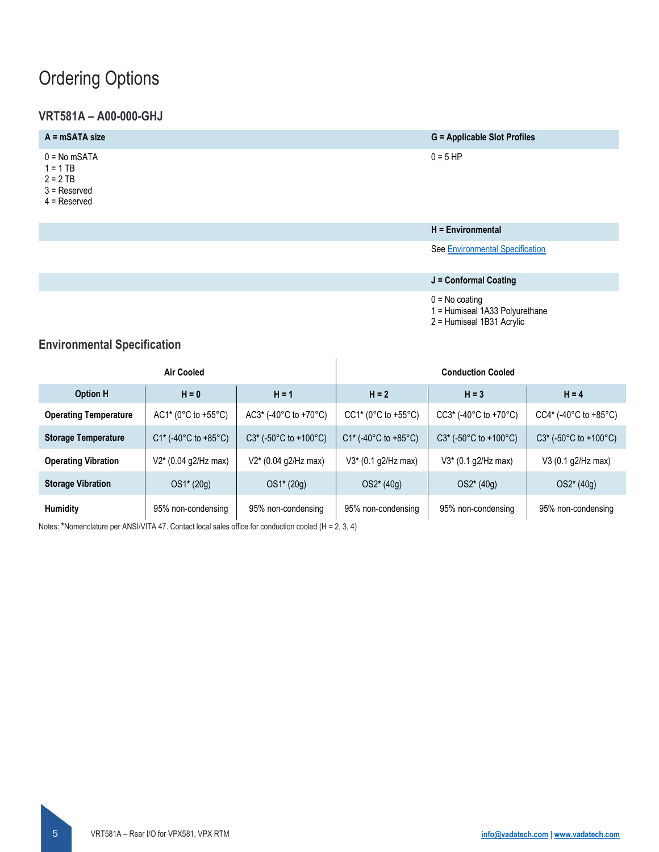### <span id="page-4-0"></span>Ordering Options

### **VRT581A – A00-000-GHJ**

| $A = mSATA size$                                                               | <b>G</b> = Applicable Slot Profiles |
|--------------------------------------------------------------------------------|-------------------------------------|
| $0 = No mSATA$<br>$1 = 1$ TB<br>$2 = 2 TB$<br>$3 =$ Reserved<br>$4$ = Reserved | $0 = 5$ HP                          |

#### **H = Environmental**

See [Environmental Specification](#page-4-1)

### **J = Conformal Coating**

 $0 = No$  coating

1 = Humiseal 1A33 Polyurethane

2 = Humiseal 1B31 Acrylic

### <span id="page-4-1"></span>**Environmental Specification**

| Air Cooled                   |                         |                                             | <b>Conduction Cooled</b> |                                |                                               |
|------------------------------|-------------------------|---------------------------------------------|--------------------------|--------------------------------|-----------------------------------------------|
| <b>Option H</b>              | $H = 0$                 | $H = 1$                                     | $H = 2$                  | $H = 3$                        | $H = 4$                                       |
| <b>Operating Temperature</b> | $AC1* (0°C to +55°C)$   | $AC3*$ (-40 $°C$ to +70 $°C$ )              | $CC1* (0°C to +55°C)$    | $CC3*$ (-40 $°C$ to +70 $°C$ ) | $CC4*(-40^{\circ}C \text{ to } +85^{\circ}C)$ |
| <b>Storage Temperature</b>   | $C1*$ (-40°C to +85°C)  | $C3*$ (-50 $\degree$ C to +100 $\degree$ C) | $C1*$ (-40°C to +85°C)   | $C3*$ (-50 °C to +100 °C)      | $C3*$ (-50°C to +100°C)                       |
| <b>Operating Vibration</b>   | $V2^*$ (0.04 g2/Hz max) | $V2*(0.04 g2/Hz max)$                       | $V3*$ (0.1 g2/Hz max)    | $V3*$ (0.1 g2/Hz max)          | V3 (0.1 g2/Hz max)                            |
| <b>Storage Vibration</b>     | OS1* (20g)              | $OS1*(20g)$                                 | $OS2*(40g)$              | $OS2*(40g)$                    | OS2* (40g)                                    |
| <b>Humidity</b>              | 95% non-condensing      | 95% non-condensing                          | 95% non-condensing       | 95% non-condensing             | 95% non-condensing                            |

Notes: **\***Nomenclature per ANSI/VITA 47. Contact local sales office for conduction cooled (H = 2, 3, 4)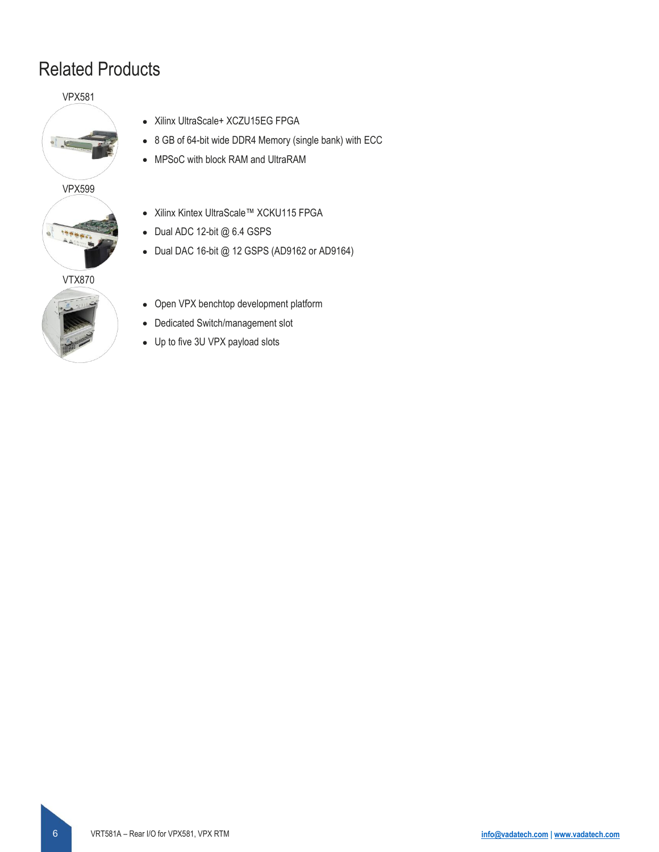### Related Products

VPX581



VPX599



VTX870



- Xilinx UltraScale+ XCZU15EG FPGA
- 8 GB of 64-bit wide DDR4 Memory (single bank) with ECC
- MPSoC with block RAM and UltraRAM
- Xilinx Kintex UltraScale™ XCKU115 FPGA
- Dual ADC 12-bit @ 6.4 GSPS
- Dual DAC 16-bit @ 12 GSPS (AD9162 or AD9164)
- Open VPX benchtop development platform
- Dedicated Switch/management slot
- Up to five 3U VPX payload slots